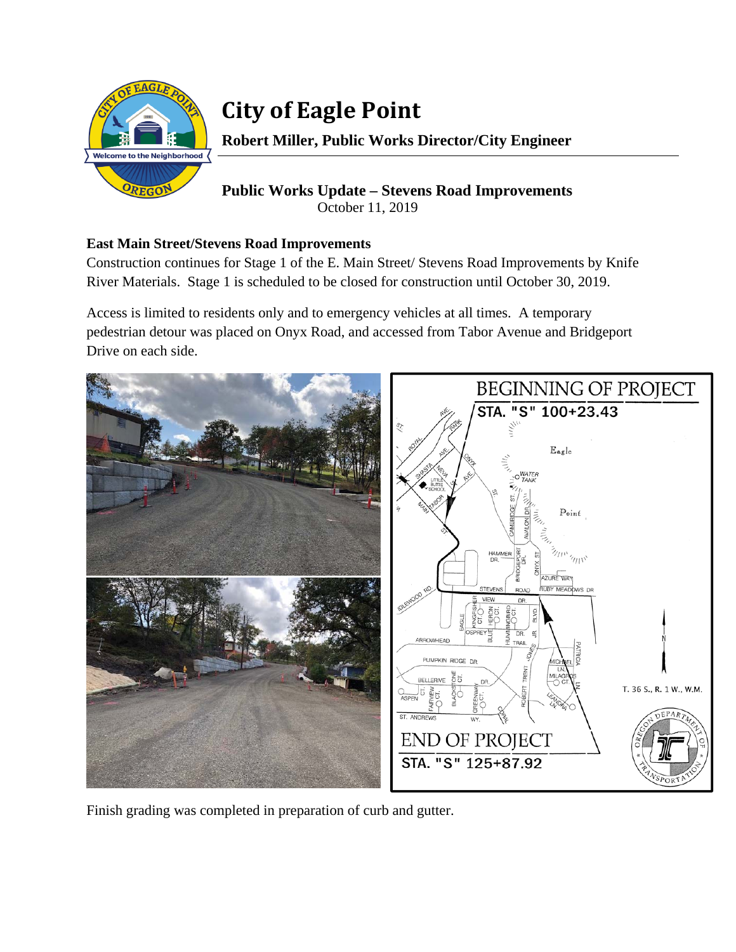

# **City of Eagle Point**

**Robert Miller, Public Works Director/City Engineer** 

## **Public Works Update – Stevens Road Improvements**  October 11, 2019

## **East Main Street/Stevens Road Improvements**

Construction continues for Stage 1 of the E. Main Street/ Stevens Road Improvements by Knife River Materials. Stage 1 is scheduled to be closed for construction until October 30, 2019.

Access is limited to residents only and to emergency vehicles at all times. A temporary pedestrian detour was placed on Onyx Road, and accessed from Tabor Avenue and Bridgeport Drive on each side.



Finish grading was completed in preparation of curb and gutter.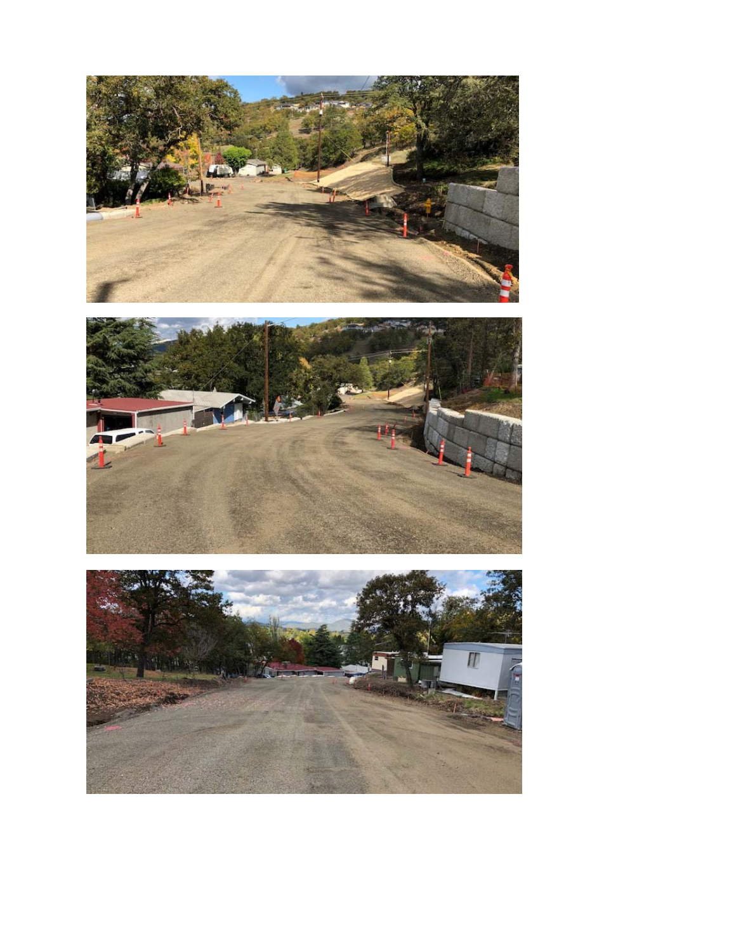

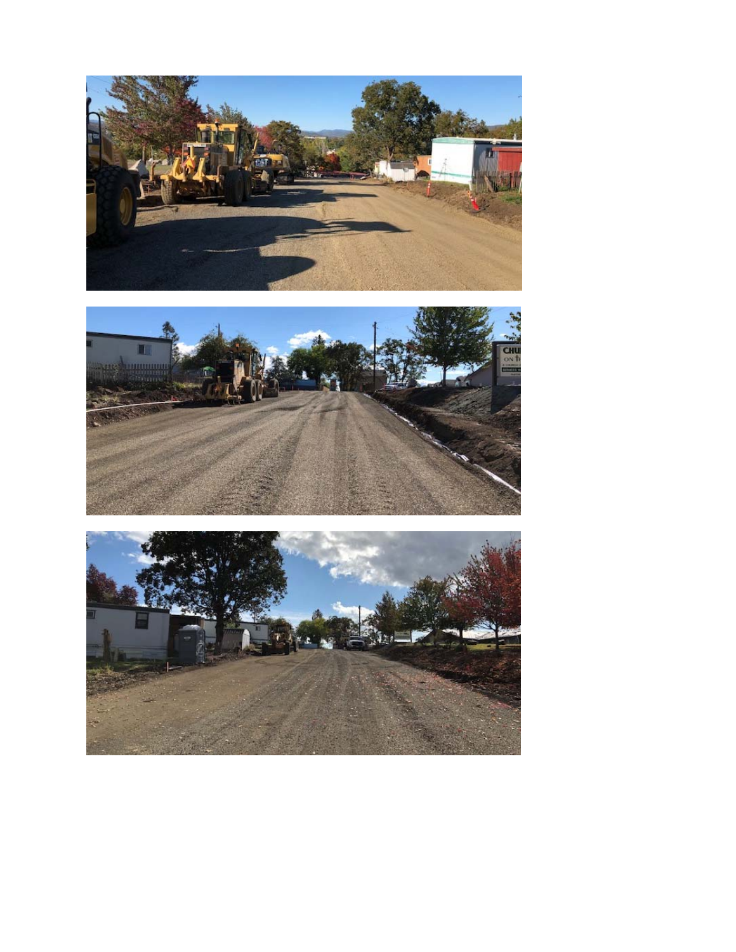



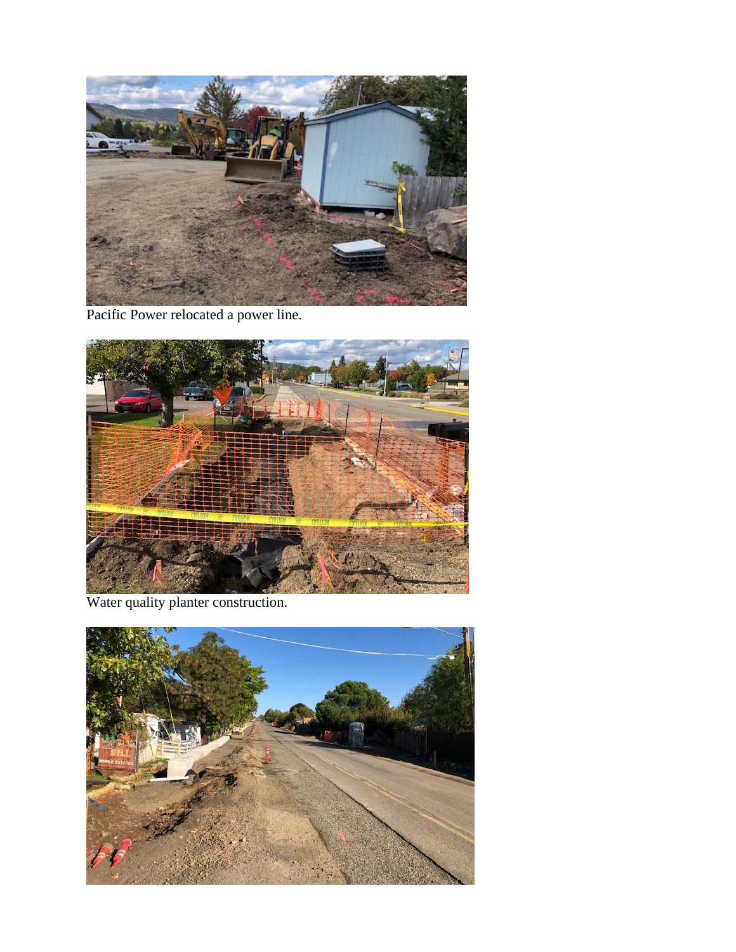

Pacific Power relocated a power line.



Water quality planter construction.

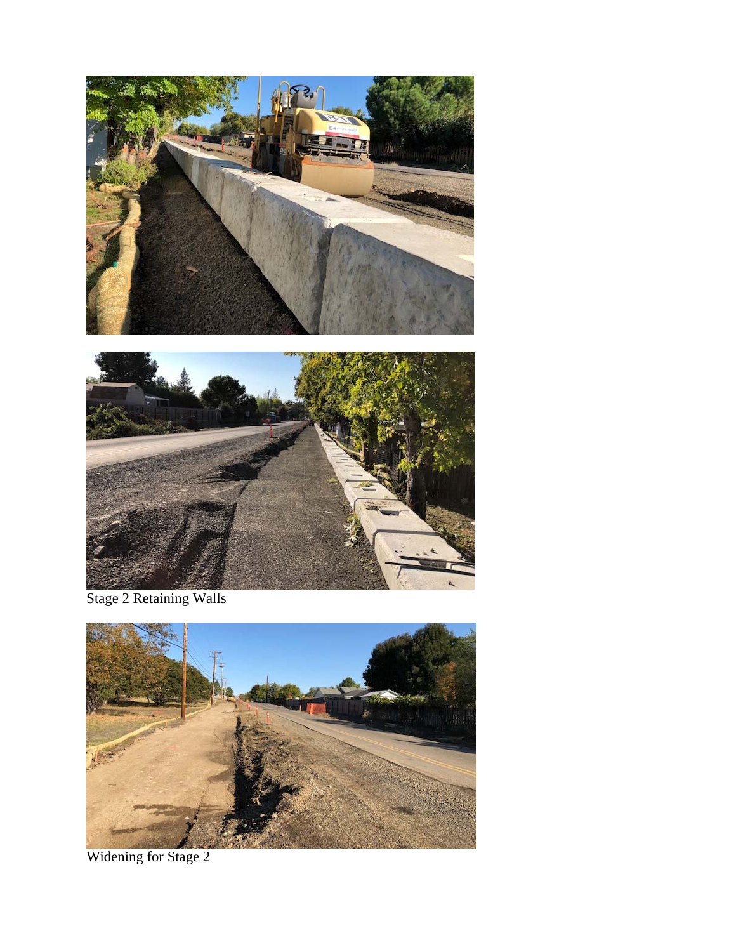



Stage 2 Retaining Walls



Widening for Stage 2